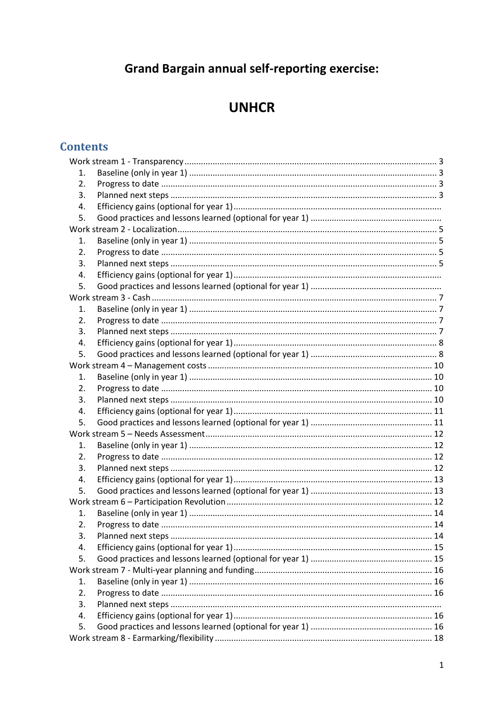# **Grand Bargain annual self-reporting exercise:**

# **UNHCR**

# **Contents**

| 1.               |  |  |  |
|------------------|--|--|--|
| 2.               |  |  |  |
| 3.               |  |  |  |
| 4.               |  |  |  |
| 5.               |  |  |  |
|                  |  |  |  |
| 1.               |  |  |  |
| 2.               |  |  |  |
| 3.               |  |  |  |
| 4.               |  |  |  |
| 5.               |  |  |  |
|                  |  |  |  |
| 1.               |  |  |  |
| $\overline{2}$ . |  |  |  |
| 3.               |  |  |  |
| 4.               |  |  |  |
| 5.               |  |  |  |
|                  |  |  |  |
| 1.               |  |  |  |
| 2.               |  |  |  |
| 3.               |  |  |  |
| 4.               |  |  |  |
| 5.               |  |  |  |
|                  |  |  |  |
| 1.               |  |  |  |
| 2.               |  |  |  |
| 3.               |  |  |  |
| 4.               |  |  |  |
| 5.               |  |  |  |
|                  |  |  |  |
| 1.               |  |  |  |
| 2.               |  |  |  |
| 3.               |  |  |  |
| 4.               |  |  |  |
| 5.               |  |  |  |
|                  |  |  |  |
| 1.               |  |  |  |
| 2.               |  |  |  |
| 3.               |  |  |  |
| 4.               |  |  |  |
| 5.               |  |  |  |
|                  |  |  |  |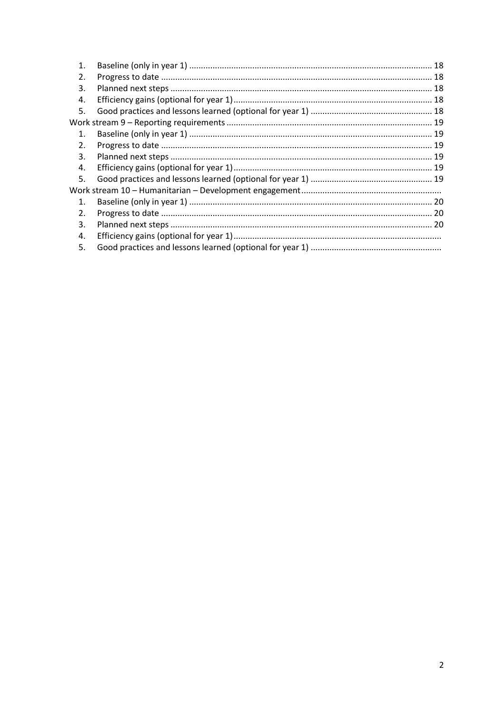| $\mathbf 1$    |  |  |  |  |
|----------------|--|--|--|--|
| 2.             |  |  |  |  |
| 3.             |  |  |  |  |
| 4.             |  |  |  |  |
| .5.            |  |  |  |  |
|                |  |  |  |  |
| $\mathbf{1}$ . |  |  |  |  |
| 2.             |  |  |  |  |
| 3.             |  |  |  |  |
| 4.             |  |  |  |  |
| 5.             |  |  |  |  |
|                |  |  |  |  |
| 1.             |  |  |  |  |
| 2.             |  |  |  |  |
| 3.             |  |  |  |  |
| 4.             |  |  |  |  |
| 5.             |  |  |  |  |
|                |  |  |  |  |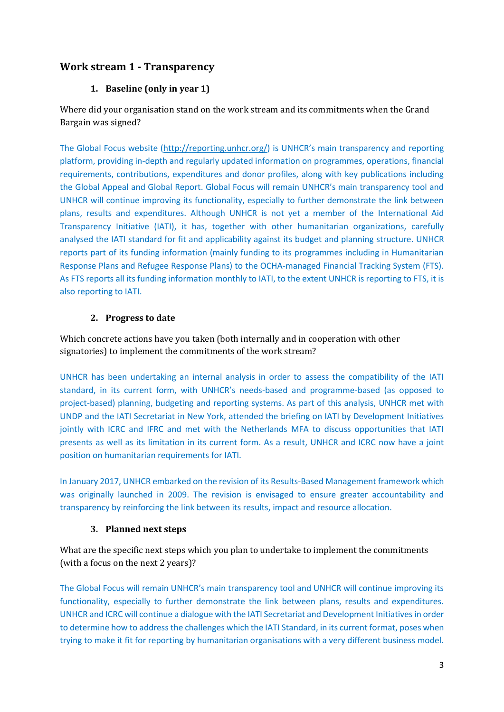## <span id="page-2-1"></span><span id="page-2-0"></span>**Work stream 1 - Transparency**

#### **1. Baseline (only in year 1)**

Where did your organisation stand on the work stream and its commitments when the Grand Bargain was signed?

The Global Focus website [\(http://reporting.unhcr.org/](http://reporting.unhcr.org/)) is UNHCR's main transparency and reporting platform, providing in-depth and regularly updated information on programmes, operations, financial requirements, contributions, expenditures and donor profiles, along with key publications including the Global Appeal and Global Report. Global Focus will remain UNHCR's main transparency tool and UNHCR will continue improving its functionality, especially to further demonstrate the link between plans, results and expenditures. Although UNHCR is not yet a member of the International Aid Transparency Initiative (IATI), it has, together with other humanitarian organizations, carefully analysed the IATI standard for fit and applicability against its budget and planning structure. UNHCR reports part of its funding information (mainly funding to its programmes including in Humanitarian Response Plans and Refugee Response Plans) to the OCHA-managed Financial Tracking System (FTS). As FTS reports all its funding information monthly to IATI, to the extent UNHCR is reporting to FTS, it is also reporting to IATI.

#### **2. Progress to date**

<span id="page-2-2"></span>Which concrete actions have you taken (both internally and in cooperation with other signatories) to implement the commitments of the work stream?

UNHCR has been undertaking an internal analysis in order to assess the compatibility of the IATI standard, in its current form, with UNHCR's needs-based and programme-based (as opposed to project-based) planning, budgeting and reporting systems. As part of this analysis, UNHCR met with UNDP and the IATI Secretariat in New York, attended the briefing on IATI by Development Initiatives jointly with ICRC and IFRC and met with the Netherlands MFA to discuss opportunities that IATI presents as well as its limitation in its current form. As a result, UNHCR and ICRC now have a joint position on humanitarian requirements for IATI.

In January 2017, UNHCR embarked on the revision of its Results-Based Management framework which was originally launched in 2009. The revision is envisaged to ensure greater accountability and transparency by reinforcing the link between its results, impact and resource allocation.

#### **3. Planned next steps**

<span id="page-2-3"></span>What are the specific next steps which you plan to undertake to implement the commitments (with a focus on the next 2 years)?

The Global Focus will remain UNHCR's main transparency tool and UNHCR will continue improving its functionality, especially to further demonstrate the link between plans, results and expenditures. UNHCR and ICRC will continue a dialogue with the IATI Secretariat and Development Initiatives in order to determine how to address the challenges which the IATI Standard, in its current format, poses when trying to make it fit for reporting by humanitarian organisations with a very different business model.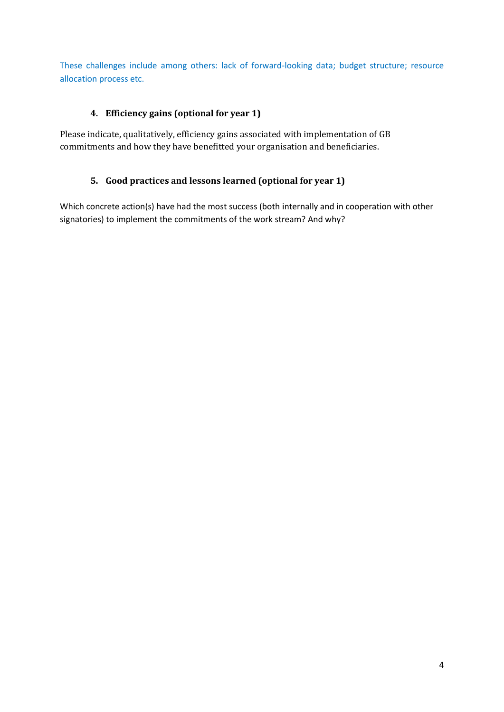These challenges include among others: lack of forward-looking data; budget structure; resource allocation process etc.

## **4. Efficiency gains (optional for year 1)**

Please indicate, qualitatively, efficiency gains associated with implementation of GB commitments and how they have benefitted your organisation and beneficiaries.

#### **5. Good practices and lessons learned (optional for year 1)**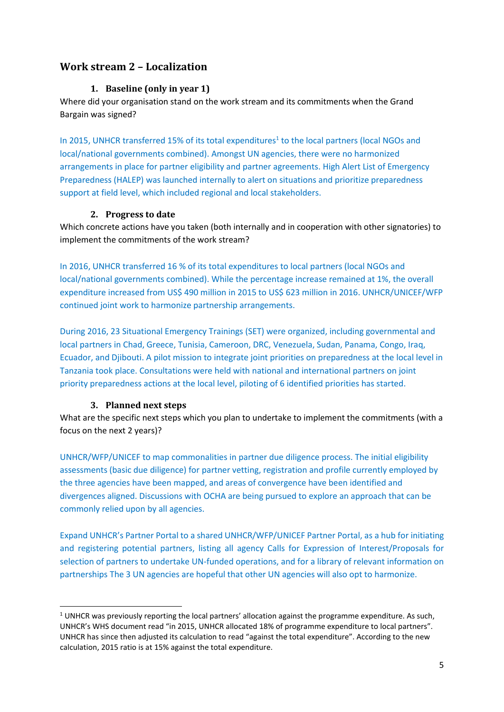## <span id="page-4-1"></span><span id="page-4-0"></span>**Work stream 2 – Localization**

#### **1. Baseline (only in year 1)**

Where did your organisation stand on the work stream and its commitments when the Grand Bargain was signed?

In 2015, UNHCR transferred 15% of its total expenditures<sup>1</sup> to the local partners (local NGOs and local/national governments combined). Amongst UN agencies, there were no harmonized arrangements in place for partner eligibility and partner agreements. High Alert List of Emergency Preparedness (HALEP) was launched internally to alert on situations and prioritize preparedness support at field level, which included regional and local stakeholders.

#### **2. Progress to date**

<span id="page-4-2"></span>Which concrete actions have you taken (both internally and in cooperation with other signatories) to implement the commitments of the work stream?

In 2016, UNHCR transferred 16 % of its total expenditures to local partners (local NGOs and local/national governments combined). While the percentage increase remained at 1%, the overall expenditure increased from US\$ 490 million in 2015 to US\$ 623 million in 2016. UNHCR/UNICEF/WFP continued joint work to harmonize partnership arrangements.

During 2016, 23 Situational Emergency Trainings (SET) were organized, including governmental and local partners in Chad, Greece, Tunisia, Cameroon, DRC, Venezuela, Sudan, Panama, Congo, Iraq, Ecuador, and Djibouti. A pilot mission to integrate joint priorities on preparedness at the local level in Tanzania took place. Consultations were held with national and international partners on joint priority preparedness actions at the local level, piloting of 6 identified priorities has started.

#### **3. Planned next steps**

1

<span id="page-4-3"></span>What are the specific next steps which you plan to undertake to implement the commitments (with a focus on the next 2 years)?

UNHCR/WFP/UNICEF to map commonalities in partner due diligence process. The initial eligibility assessments (basic due diligence) for partner vetting, registration and profile currently employed by the three agencies have been mapped, and areas of convergence have been identified and divergences aligned. Discussions with OCHA are being pursued to explore an approach that can be commonly relied upon by all agencies.

Expand UNHCR's Partner Portal to a shared UNHCR/WFP/UNICEF Partner Portal, as a hub for initiating and registering potential partners, listing all agency Calls for Expression of Interest/Proposals for selection of partners to undertake UN-funded operations, and for a library of relevant information on partnerships The 3 UN agencies are hopeful that other UN agencies will also opt to harmonize.

 $1$  UNHCR was previously reporting the local partners' allocation against the programme expenditure. As such, UNHCR's WHS document read "in 2015, UNHCR allocated 18% of programme expenditure to local partners". UNHCR has since then adjusted its calculation to read "against the total expenditure". According to the new calculation, 2015 ratio is at 15% against the total expenditure.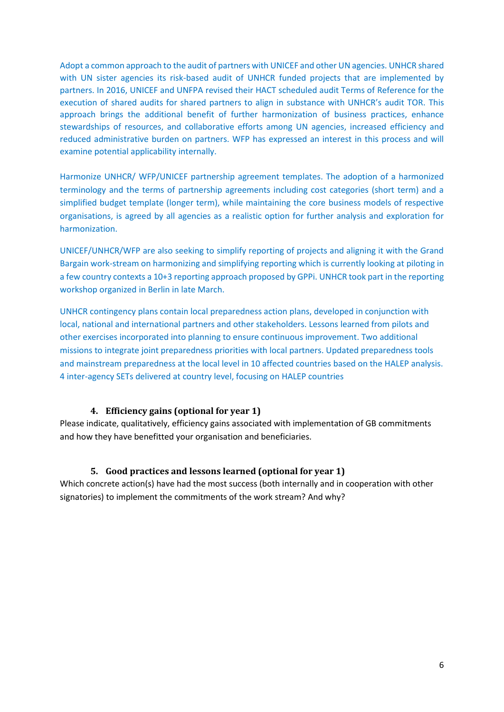Adopt a common approach to the audit of partners with UNICEF and other UN agencies. UNHCR shared with UN sister agencies its risk-based audit of UNHCR funded projects that are implemented by partners. In 2016, UNICEF and UNFPA revised their HACT scheduled audit Terms of Reference for the execution of shared audits for shared partners to align in substance with UNHCR's audit TOR. This approach brings the additional benefit of further harmonization of business practices, enhance stewardships of resources, and collaborative efforts among UN agencies, increased efficiency and reduced administrative burden on partners. WFP has expressed an interest in this process and will examine potential applicability internally.

Harmonize UNHCR/ WFP/UNICEF partnership agreement templates. The adoption of a harmonized terminology and the terms of partnership agreements including cost categories (short term) and a simplified budget template (longer term), while maintaining the core business models of respective organisations, is agreed by all agencies as a realistic option for further analysis and exploration for harmonization.

UNICEF/UNHCR/WFP are also seeking to simplify reporting of projects and aligning it with the Grand Bargain work-stream on harmonizing and simplifying reporting which is currently looking at piloting in a few country contexts a 10+3 reporting approach proposed by GPPi. UNHCR took part in the reporting workshop organized in Berlin in late March.

UNHCR contingency plans contain local preparedness action plans, developed in conjunction with local, national and international partners and other stakeholders. Lessons learned from pilots and other exercises incorporated into planning to ensure continuous improvement. Two additional missions to integrate joint preparedness priorities with local partners. Updated preparedness tools and mainstream preparedness at the local level in 10 affected countries based on the HALEP analysis. 4 inter-agency SETs delivered at country level, focusing on HALEP countries

#### **4. Efficiency gains (optional for year 1)**

Please indicate, qualitatively, efficiency gains associated with implementation of GB commitments and how they have benefitted your organisation and beneficiaries.

#### **5. Good practices and lessons learned (optional for year 1)**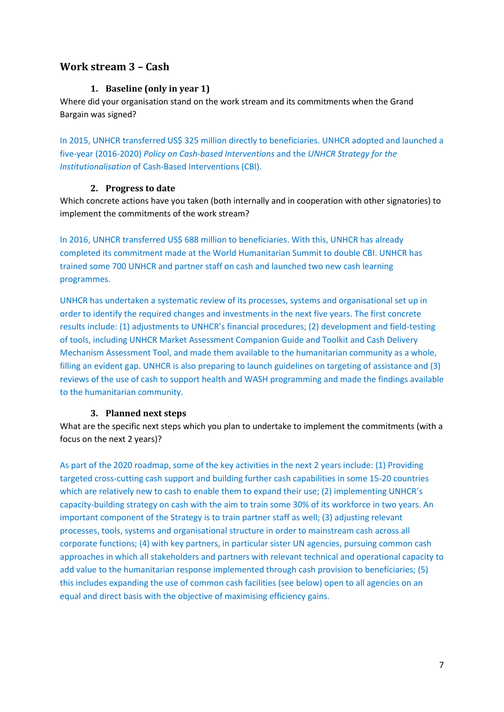## <span id="page-6-1"></span><span id="page-6-0"></span>**Work stream 3 – Cash**

#### **1. Baseline (only in year 1)**

Where did your organisation stand on the work stream and its commitments when the Grand Bargain was signed?

In 2015, UNHCR transferred US\$ 325 million directly to beneficiaries. UNHCR adopted and launched a five-year (2016-2020) *Policy on Cash-based Interventions* and the *UNHCR Strategy for the Institutionalisation* of Cash-Based Interventions (CBI).

#### **2. Progress to date**

<span id="page-6-2"></span>Which concrete actions have you taken (both internally and in cooperation with other signatories) to implement the commitments of the work stream?

In 2016, UNHCR transferred US\$ 688 million to beneficiaries. With this, UNHCR has already completed its commitment made at the World Humanitarian Summit to double CBI. UNHCR has trained some 700 UNHCR and partner staff on cash and launched two new cash learning programmes.

UNHCR has undertaken a systematic review of its processes, systems and organisational set up in order to identify the required changes and investments in the next five years. The first concrete results include: (1) adjustments to UNHCR's financial procedures; (2) development and field-testing of tools, including UNHCR Market Assessment Companion Guide and Toolkit and Cash Delivery Mechanism Assessment Tool, and made them available to the humanitarian community as a whole, filling an evident gap. UNHCR is also preparing to launch guidelines on targeting of assistance and (3) reviews of the use of cash to support health and WASH programming and made the findings available to the humanitarian community.

#### **3. Planned next steps**

<span id="page-6-3"></span>What are the specific next steps which you plan to undertake to implement the commitments (with a focus on the next 2 years)?

As part of the 2020 roadmap, some of the key activities in the next 2 years include: (1) Providing targeted cross-cutting cash support and building further cash capabilities in some 15-20 countries which are relatively new to cash to enable them to expand their use; (2) implementing UNHCR's capacity-building strategy on cash with the aim to train some 30% of its workforce in two years. An important component of the Strategy is to train partner staff as well; (3) adjusting relevant processes, tools, systems and organisational structure in order to mainstream cash across all corporate functions; (4) with key partners, in particular sister UN agencies, pursuing common cash approaches in which all stakeholders and partners with relevant technical and operational capacity to add value to the humanitarian response implemented through cash provision to beneficiaries; (5) this includes expanding the use of common cash facilities (see below) open to all agencies on an equal and direct basis with the objective of maximising efficiency gains.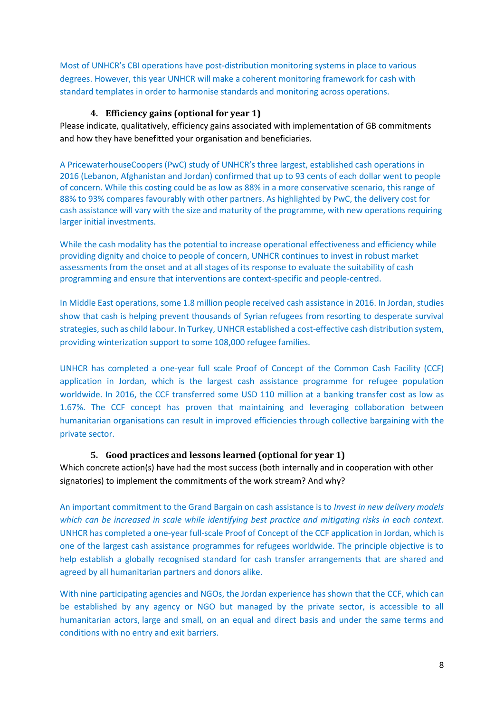Most of UNHCR's CBI operations have post-distribution monitoring systems in place to various degrees. However, this year UNHCR will make a coherent monitoring framework for cash with standard templates in order to harmonise standards and monitoring across operations.

#### **4. Efficiency gains (optional for year 1)**

<span id="page-7-0"></span>Please indicate, qualitatively, efficiency gains associated with implementation of GB commitments and how they have benefitted your organisation and beneficiaries.

A PricewaterhouseCoopers (PwC) study of UNHCR's three largest, established cash operations in 2016 (Lebanon, Afghanistan and Jordan) confirmed that up to 93 cents of each dollar went to people of concern. While this costing could be as low as 88% in a more conservative scenario, this range of 88% to 93% compares favourably with other partners. As highlighted by PwC, the delivery cost for cash assistance will vary with the size and maturity of the programme, with new operations requiring larger initial investments.

While the cash modality has the potential to increase operational effectiveness and efficiency while providing dignity and choice to people of concern, UNHCR continues to invest in robust market assessments from the onset and at all stages of its response to evaluate the suitability of cash programming and ensure that interventions are context-specific and people-centred.

In Middle East operations, some 1.8 million people received cash assistance in 2016. In Jordan, studies show that cash is helping prevent thousands of Syrian refugees from resorting to desperate survival strategies, such as child labour. In Turkey, UNHCR established a cost-effective cash distribution system, providing winterization support to some 108,000 refugee families.

<span id="page-7-1"></span>UNHCR has completed a one-year full scale Proof of Concept of the Common Cash Facility (CCF) application in Jordan, which is the largest cash assistance programme for refugee population worldwide. In 2016, the CCF transferred some USD 110 million at a banking transfer cost as low as 1.67%. The CCF concept has proven that maintaining and leveraging collaboration between humanitarian organisations can result in improved efficiencies through collective bargaining with the private sector.

#### **5. Good practices and lessons learned (optional for year 1)**

Which concrete action(s) have had the most success (both internally and in cooperation with other signatories) to implement the commitments of the work stream? And why?

An important commitment to the Grand Bargain on cash assistance is to *Invest in new delivery models which can be increased in scale while identifying best practice and mitigating risks in each context.* UNHCR has completed a one-year full-scale Proof of Concept of the CCF application in Jordan, which is one of the largest cash assistance programmes for refugees worldwide. The principle objective is to help establish a globally recognised standard for cash transfer arrangements that are shared and agreed by all humanitarian partners and donors alike.

With nine participating agencies and NGOs, the Jordan experience has shown that the CCF, which can be established by any agency or NGO but managed by the private sector, is accessible to all humanitarian actors, large and small, on an equal and direct basis and under the same terms and conditions with no entry and exit barriers.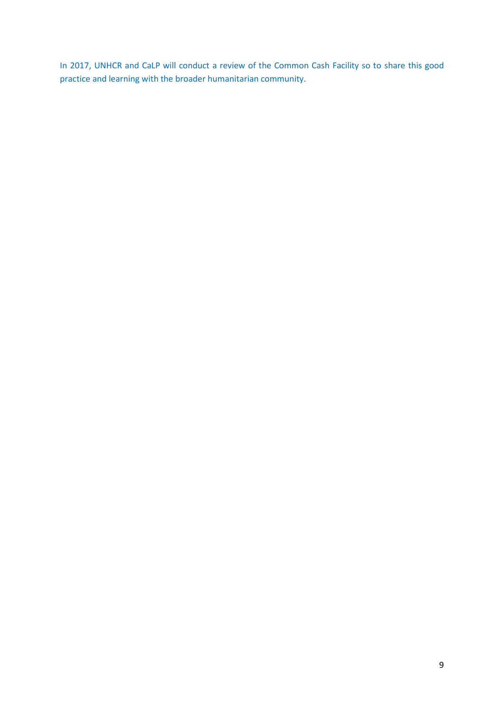In 2017, UNHCR and CaLP will conduct a review of the Common Cash Facility so to share this good practice and learning with the broader humanitarian community.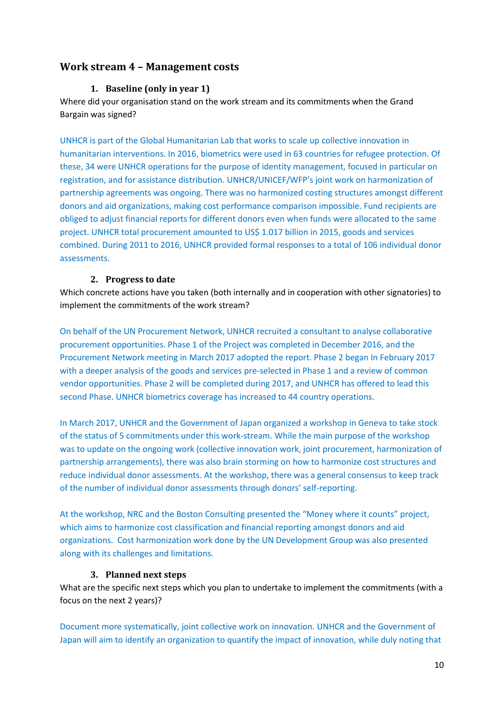## <span id="page-9-1"></span><span id="page-9-0"></span>**Work stream 4 – Management costs**

#### **1. Baseline (only in year 1)**

Where did your organisation stand on the work stream and its commitments when the Grand Bargain was signed?

UNHCR is part of the Global Humanitarian Lab that works to scale up collective innovation in humanitarian interventions. In 2016, biometrics were used in 63 countries for refugee protection. Of these, 34 were UNHCR operations for the purpose of identity management, focused in particular on registration, and for assistance distribution. UNHCR/UNICEF/WFP's joint work on harmonization of partnership agreements was ongoing. There was no harmonized costing structures amongst different donors and aid organizations, making cost performance comparison impossible. Fund recipients are obliged to adjust financial reports for different donors even when funds were allocated to the same project. UNHCR total procurement amounted to US\$ 1.017 billion in 2015, goods and services combined. During 2011 to 2016, UNHCR provided formal responses to a total of 106 individual donor assessments.

#### **2. Progress to date**

<span id="page-9-2"></span>Which concrete actions have you taken (both internally and in cooperation with other signatories) to implement the commitments of the work stream?

On behalf of the UN Procurement Network, UNHCR recruited a consultant to analyse collaborative procurement opportunities. Phase 1 of the Project was completed in December 2016, and the Procurement Network meeting in March 2017 adopted the report. Phase 2 began In February 2017 with a deeper analysis of the goods and services pre-selected in Phase 1 and a review of common vendor opportunities. Phase 2 will be completed during 2017, and UNHCR has offered to lead this second Phase. UNHCR biometrics coverage has increased to 44 country operations.

In March 2017, UNHCR and the Government of Japan organized a workshop in Geneva to take stock of the status of 5 commitments under this work-stream. While the main purpose of the workshop was to update on the ongoing work (collective innovation work, joint procurement, harmonization of partnership arrangements), there was also brain storming on how to harmonize cost structures and reduce individual donor assessments. At the workshop, there was a general consensus to keep track of the number of individual donor assessments through donors' self-reporting.

At the workshop, NRC and the Boston Consulting presented the "Money where it counts" project, which aims to harmonize cost classification and financial reporting amongst donors and aid organizations. Cost harmonization work done by the UN Development Group was also presented along with its challenges and limitations.

#### **3. Planned next steps**

<span id="page-9-3"></span>What are the specific next steps which you plan to undertake to implement the commitments (with a focus on the next 2 years)?

Document more systematically, joint collective work on innovation. UNHCR and the Government of Japan will aim to identify an organization to quantify the impact of innovation, while duly noting that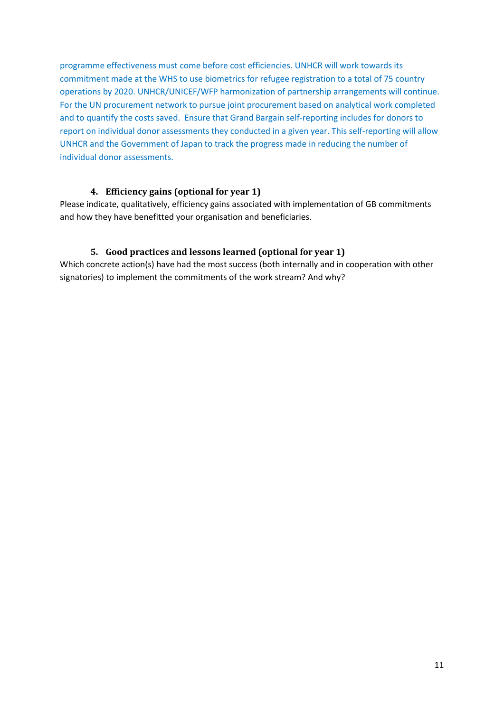programme effectiveness must come before cost efficiencies. UNHCR will work towards its commitment made at the WHS to use biometrics for refugee registration to a total of 75 country operations by 2020. UNHCR/UNICEF/WFP harmonization of partnership arrangements will continue. For the UN procurement network to pursue joint procurement based on analytical work completed and to quantify the costs saved. Ensure that Grand Bargain self-reporting includes for donors to report on individual donor assessments they conducted in a given year. This self-reporting will allow UNHCR and the Government of Japan to track the progress made in reducing the number of individual donor assessments.

#### **4. Efficiency gains (optional for year 1)**

<span id="page-10-0"></span>Please indicate, qualitatively, efficiency gains associated with implementation of GB commitments and how they have benefitted your organisation and beneficiaries.

#### <span id="page-10-2"></span><span id="page-10-1"></span>**5. Good practices and lessons learned (optional for year 1)**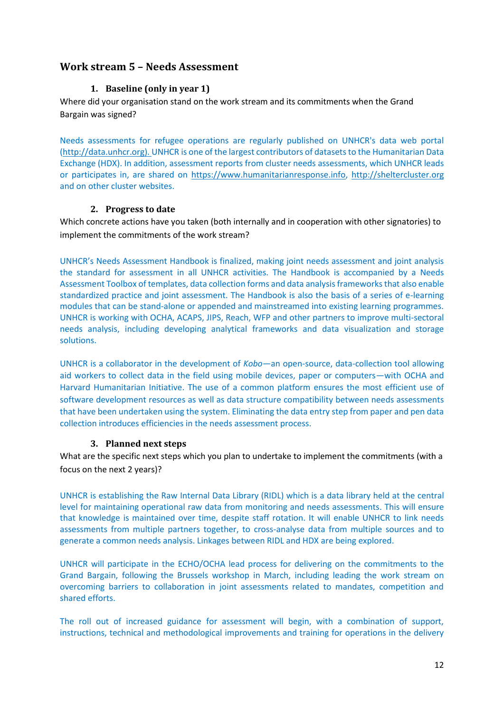## <span id="page-11-1"></span><span id="page-11-0"></span>**Work stream 5 – Needs Assessment**

### **1. Baseline (only in year 1)**

Where did your organisation stand on the work stream and its commitments when the Grand Bargain was signed?

Needs assessments for refugee operations are regularly published on UNHCR's data web portal [\(http://data.unhcr.org\)](http://data.unhcr.org/). UNHCR is one of the largest contributors of datasets to the Humanitarian Data Exchange (HDX). In addition, assessment reports from cluster needs assessments, which UNHCR leads or participates in, are shared on [https://www.humanitarianresponse.info,](https://www.humanitarianresponse.info/) [http://sheltercluster.org](http://sheltercluster.org/) and on other cluster websites.

#### **2. Progress to date**

<span id="page-11-2"></span>Which concrete actions have you taken (both internally and in cooperation with other signatories) to implement the commitments of the work stream?

UNHCR's Needs Assessment Handbook is finalized, making joint needs assessment and joint analysis the standard for assessment in all UNHCR activities. The Handbook is accompanied by a Needs Assessment Toolbox of templates, data collection forms and data analysis frameworks that also enable standardized practice and joint assessment. The Handbook is also the basis of a series of e-learning modules that can be stand-alone or appended and mainstreamed into existing learning programmes. UNHCR is working with OCHA, ACAPS, JIPS, Reach, WFP and other partners to improve multi-sectoral needs analysis, including developing analytical frameworks and data visualization and storage solutions.

UNHCR is a collaborator in the development of *Kobo*—an open-source, data-collection tool allowing aid workers to collect data in the field using mobile devices, paper or computers—with OCHA and Harvard Humanitarian Initiative. The use of a common platform ensures the most efficient use of software development resources as well as data structure compatibility between needs assessments that have been undertaken using the system. Eliminating the data entry step from paper and pen data collection introduces efficiencies in the needs assessment process.

#### **3. Planned next steps**

<span id="page-11-3"></span>What are the specific next steps which you plan to undertake to implement the commitments (with a focus on the next 2 years)?

UNHCR is establishing the Raw Internal Data Library (RIDL) which is a data library held at the central level for maintaining operational raw data from monitoring and needs assessments. This will ensure that knowledge is maintained over time, despite staff rotation. It will enable UNHCR to link needs assessments from multiple partners together, to cross-analyse data from multiple sources and to generate a common needs analysis. Linkages between RIDL and HDX are being explored.

UNHCR will participate in the ECHO/OCHA lead process for delivering on the commitments to the Grand Bargain, following the Brussels workshop in March, including leading the work stream on overcoming barriers to collaboration in joint assessments related to mandates, competition and shared efforts.

The roll out of increased guidance for assessment will begin, with a combination of support, instructions, technical and methodological improvements and training for operations in the delivery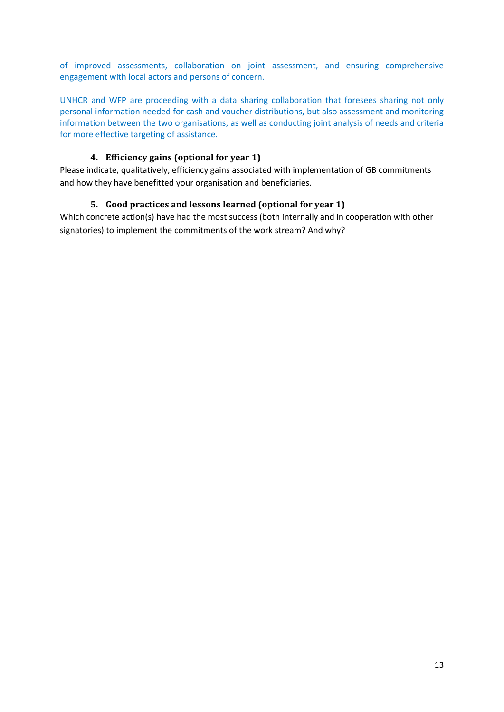of improved assessments, collaboration on joint assessment, and ensuring comprehensive engagement with local actors and persons of concern.

UNHCR and WFP are proceeding with a data sharing collaboration that foresees sharing not only personal information needed for cash and voucher distributions, but also assessment and monitoring information between the two organisations, as well as conducting joint analysis of needs and criteria for more effective targeting of assistance.

### **4. Efficiency gains (optional for year 1)**

<span id="page-12-1"></span><span id="page-12-0"></span>Please indicate, qualitatively, efficiency gains associated with implementation of GB commitments and how they have benefitted your organisation and beneficiaries.

#### **5. Good practices and lessons learned (optional for year 1)**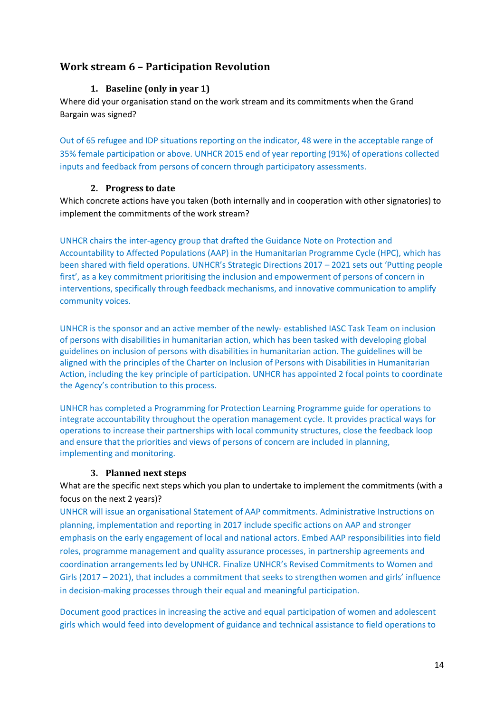## <span id="page-13-0"></span>**Work stream 6 – Participation Revolution**

#### **1. Baseline (only in year 1)**

Where did your organisation stand on the work stream and its commitments when the Grand Bargain was signed?

Out of 65 refugee and IDP situations reporting on the indicator, 48 were in the acceptable range of 35% female participation or above. UNHCR 2015 end of year reporting (91%) of operations collected inputs and feedback from persons of concern through participatory assessments.

#### **2. Progress to date**

<span id="page-13-1"></span>Which concrete actions have you taken (both internally and in cooperation with other signatories) to implement the commitments of the work stream?

UNHCR chairs the inter-agency group that drafted the Guidance Note on [Protection and](http://www.globalprotectioncluster.org/_assets/files/tools_and_guidance/protection_of_civilians/edg-aap_protection_guidance_note_2016.pdf)  [Accountability to Affected Populations \(AAP\) in the Humanitarian Programme Cycle](http://www.globalprotectioncluster.org/_assets/files/tools_and_guidance/protection_of_civilians/edg-aap_protection_guidance_note_2016.pdf) (HPC), which has been shared with field operations. UNHCR's Strategic Directions 2017 – 2021 sets out 'Putting people first', as a key commitment prioritising the inclusion and empowerment of persons of concern in interventions, specifically through feedback mechanisms, and innovative communication to amplify community voices.

UNHCR is the sponsor and an active member of the newly- established IASC Task Team on inclusion of persons with disabilities in humanitarian action, which has been tasked with developing global guidelines on inclusion of persons with disabilities in humanitarian action. The guidelines will be aligned with the principles of the Charter on Inclusion of Persons with Disabilities in Humanitarian Action, including the key principle of participation. UNHCR has appointed 2 focal points to coordinate the Agency's contribution to this process.

UNHCR has completed a Programming for Protection Learning Programme guide for operations to integrate accountability throughout the operation management cycle. It provides practical ways for operations to increase their partnerships with local community structures, close the feedback loop and ensure that the priorities and views of persons of concern are included in planning, implementing and monitoring.

#### **3. Planned next steps**

<span id="page-13-2"></span>What are the specific next steps which you plan to undertake to implement the commitments (with a focus on the next 2 years)?

UNHCR will issue an organisational Statement of AAP commitments. Administrative Instructions on planning, implementation and reporting in 2017 include specific actions on AAP and stronger emphasis on the early engagement of local and national actors. Embed AAP responsibilities into field roles, programme management and quality assurance processes, in partnership agreements and coordination arrangements led by UNHCR. Finalize UNHCR's Revised Commitments to Women and Girls (2017 – 2021), that includes a commitment that seeks to strengthen women and girls' influence in decision-making processes through their equal and meaningful participation.

Document good practices in increasing the active and equal participation of women and adolescent girls which would feed into development of guidance and technical assistance to field operations to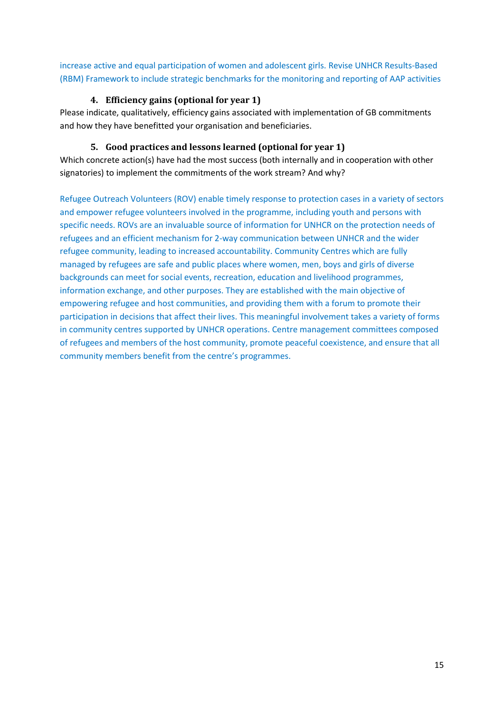increase active and equal participation of women and adolescent girls. Revise UNHCR Results-Based (RBM) Framework to include strategic benchmarks for the monitoring and reporting of AAP activities

### **4. Efficiency gains (optional for year 1)**

<span id="page-14-0"></span>Please indicate, qualitatively, efficiency gains associated with implementation of GB commitments and how they have benefitted your organisation and beneficiaries.

### **5. Good practices and lessons learned (optional for year 1)**

<span id="page-14-1"></span>Which concrete action(s) have had the most success (both internally and in cooperation with other signatories) to implement the commitments of the work stream? And why?

Refugee Outreach Volunteers (ROV) enable timely response to protection cases in a variety of sectors and empower refugee volunteers involved in the programme, including youth and persons with specific needs. ROVs are an invaluable source of information for UNHCR on the protection needs of refugees and an efficient mechanism for 2-way communication between UNHCR and the wider refugee community, leading to increased accountability. Community Centres which are fully managed by refugees are safe and public places where women, men, boys and girls of diverse backgrounds can meet for social events, recreation, education and livelihood programmes, information exchange, and other purposes. They are established with the main objective of empowering refugee and host communities, and providing them with a forum to promote their participation in decisions that affect their lives. This meaningful involvement takes a variety of forms in community centres supported by UNHCR operations. Centre management committees composed of refugees and members of the host community, promote peaceful coexistence, and ensure that all community members benefit from the centre's programmes.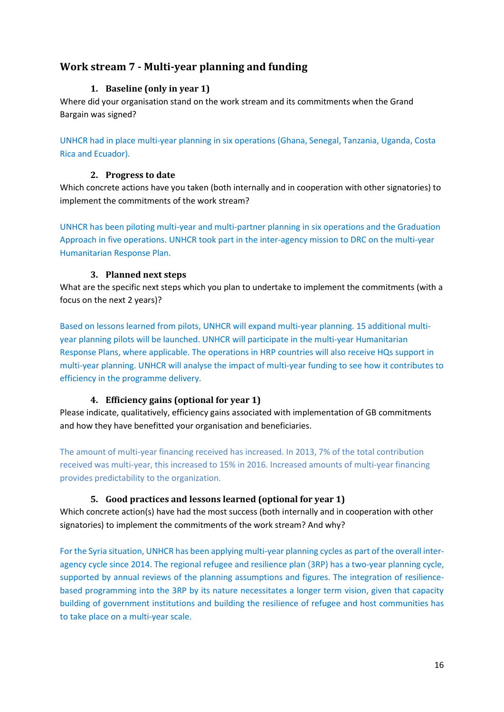# <span id="page-15-1"></span><span id="page-15-0"></span>**Work stream 7 - Multi-year planning and funding**

### **1. Baseline (only in year 1)**

Where did your organisation stand on the work stream and its commitments when the Grand Bargain was signed?

UNHCR had in place multi-year planning in six operations (Ghana, Senegal, Tanzania, Uganda, Costa Rica and Ecuador).

#### **2. Progress to date**

<span id="page-15-2"></span>Which concrete actions have you taken (both internally and in cooperation with other signatories) to implement the commitments of the work stream?

UNHCR has been piloting multi-year and multi-partner planning in six operations and the Graduation Approach in five operations. UNHCR took part in the inter-agency mission to DRC on the multi-year Humanitarian Response Plan.

## **3. Planned next steps**

What are the specific next steps which you plan to undertake to implement the commitments (with a focus on the next 2 years)?

Based on lessons learned from pilots, UNHCR will expand multi-year planning. 15 additional multiyear planning pilots will be launched. UNHCR will participate in the multi-year Humanitarian Response Plans, where applicable. The operations in HRP countries will also receive HQs support in multi-year planning. UNHCR will analyse the impact of multi-year funding to see how it contributes to efficiency in the programme delivery.

#### **4. Efficiency gains (optional for year 1)**

<span id="page-15-3"></span>Please indicate, qualitatively, efficiency gains associated with implementation of GB commitments and how they have benefitted your organisation and beneficiaries.

The amount of multi-year financing received has increased. In 2013, 7% of the total contribution received was multi-year, this increased to 15% in 2016. Increased amounts of multi-year financing provides predictability to the organization.

## **5. Good practices and lessons learned (optional for year 1)**

<span id="page-15-4"></span>Which concrete action(s) have had the most success (both internally and in cooperation with other signatories) to implement the commitments of the work stream? And why?

For the Syria situation, UNHCR has been applying multi-year planning cycles as part of the overall interagency cycle since 2014. The regional refugee and resilience plan (3RP) has a two-year planning cycle, supported by annual reviews of the planning assumptions and figures. The integration of resiliencebased programming into the 3RP by its nature necessitates a longer term vision, given that capacity building of government institutions and building the resilience of refugee and host communities has to take place on a multi-year scale.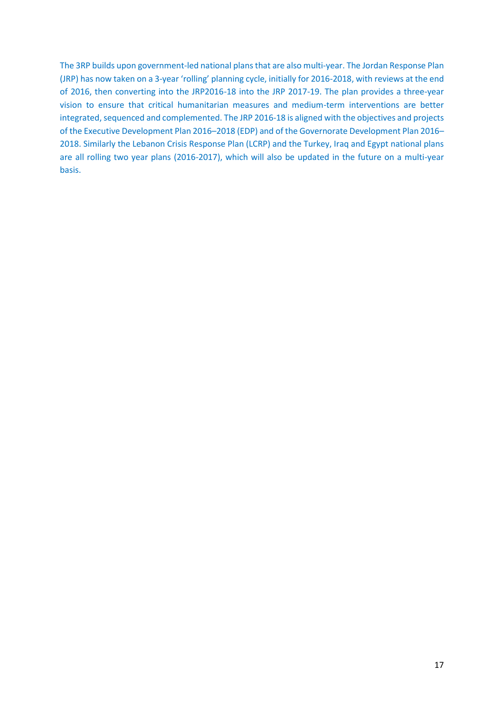The 3RP builds upon government-led national plans that are also multi-year. The Jordan Response Plan (JRP) has now taken on a 3-year 'rolling' planning cycle, initially for 2016-2018, with reviews at the end of 2016, then converting into the JRP2016-18 into the JRP 2017-19. The plan provides a three-year vision to ensure that critical humanitarian measures and medium-term interventions are better integrated, sequenced and complemented. The JRP 2016-18 is aligned with the objectives and projects of the Executive Development Plan 2016–2018 (EDP) and of the Governorate Development Plan 2016– 2018. Similarly the Lebanon Crisis Response Plan (LCRP) and the Turkey, Iraq and Egypt national plans are all rolling two year plans (2016-2017), which will also be updated in the future on a multi-year basis.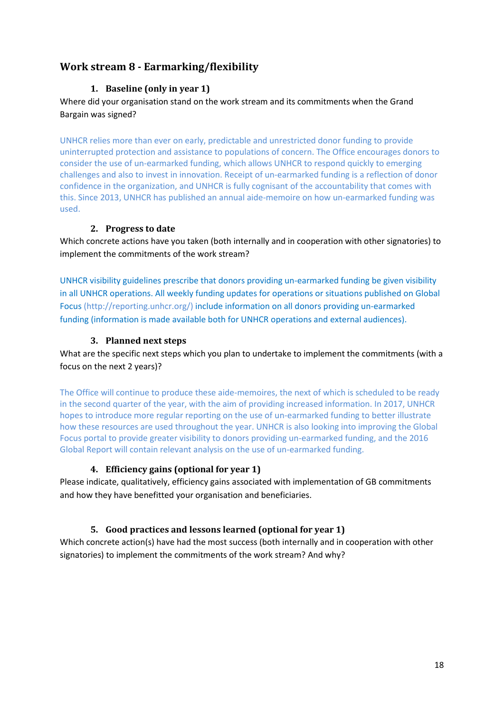# <span id="page-17-1"></span><span id="page-17-0"></span>**Work stream 8 - Earmarking/flexibility**

## **1. Baseline (only in year 1)**

Where did your organisation stand on the work stream and its commitments when the Grand Bargain was signed?

UNHCR relies more than ever on early, predictable and unrestricted donor funding to provide uninterrupted protection and assistance to populations of concern. The Office encourages donors to consider the use of un-earmarked funding, which allows UNHCR to respond quickly to emerging challenges and also to invest in innovation. Receipt of un-earmarked funding is a reflection of donor confidence in the organization, and UNHCR is fully cognisant of the accountability that comes with this. Since 2013, UNHCR has published an annual aide-memoire on how un-earmarked funding was used.

## **2. Progress to date**

<span id="page-17-2"></span>Which concrete actions have you taken (both internally and in cooperation with other signatories) to implement the commitments of the work stream?

UNHCR visibility guidelines prescribe that donors providing un-earmarked funding be given visibility in all UNHCR operations. All weekly funding updates for operations or situations published on Global Focus [\(http://reporting.unhcr.org/\)](http://reporting.unhcr.org/) include information on all donors providing un-earmarked funding (information is made available both for UNHCR operations and external audiences).

## **3. Planned next steps**

<span id="page-17-3"></span>What are the specific next steps which you plan to undertake to implement the commitments (with a focus on the next 2 years)?

The Office will continue to produce these aide-memoires, the next of which is scheduled to be ready in the second quarter of the year, with the aim of providing increased information. In 2017, UNHCR hopes to introduce more regular reporting on the use of un-earmarked funding to better illustrate how these resources are used throughout the year. UNHCR is also looking into improving the Global Focus portal to provide greater visibility to donors providing un-earmarked funding, and the 2016 Global Report will contain relevant analysis on the use of un-earmarked funding.

## **4. Efficiency gains (optional for year 1)**

<span id="page-17-4"></span>Please indicate, qualitatively, efficiency gains associated with implementation of GB commitments and how they have benefitted your organisation and beneficiaries.

## <span id="page-17-5"></span>**5. Good practices and lessons learned (optional for year 1)**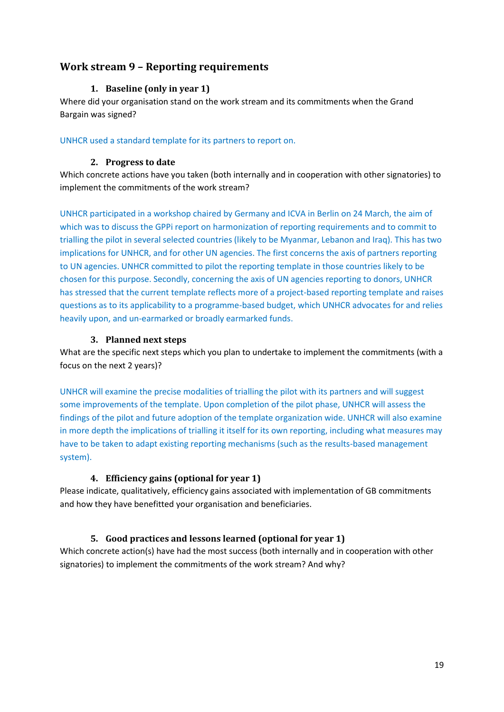## <span id="page-18-1"></span><span id="page-18-0"></span>**Work stream 9 – Reporting requirements**

#### **1. Baseline (only in year 1)**

Where did your organisation stand on the work stream and its commitments when the Grand Bargain was signed?

<span id="page-18-2"></span>UNHCR used a standard template for its partners to report on.

#### **2. Progress to date**

Which concrete actions have you taken (both internally and in cooperation with other signatories) to implement the commitments of the work stream?

UNHCR participated in a workshop chaired by Germany and ICVA in Berlin on 24 March, the aim of which was to discuss the GPPi report on harmonization of reporting requirements and to commit to trialling the pilot in several selected countries (likely to be Myanmar, Lebanon and Iraq). This has two implications for UNHCR, and for other UN agencies. The first concerns the axis of partners reporting to UN agencies. UNHCR committed to pilot the reporting template in those countries likely to be chosen for this purpose. Secondly, concerning the axis of UN agencies reporting to donors, UNHCR has stressed that the current template reflects more of a project-based reporting template and raises questions as to its applicability to a programme-based budget, which UNHCR advocates for and relies heavily upon, and un-earmarked or broadly earmarked funds.

#### **3. Planned next steps**

<span id="page-18-3"></span>What are the specific next steps which you plan to undertake to implement the commitments (with a focus on the next 2 years)?

UNHCR will examine the precise modalities of trialling the pilot with its partners and will suggest some improvements of the template. Upon completion of the pilot phase, UNHCR will assess the findings of the pilot and future adoption of the template organization wide. UNHCR will also examine in more depth the implications of trialling it itself for its own reporting, including what measures may have to be taken to adapt existing reporting mechanisms (such as the results-based management system).

#### **4. Efficiency gains (optional for year 1)**

<span id="page-18-4"></span>Please indicate, qualitatively, efficiency gains associated with implementation of GB commitments and how they have benefitted your organisation and beneficiaries.

#### <span id="page-18-5"></span>**5. Good practices and lessons learned (optional for year 1)**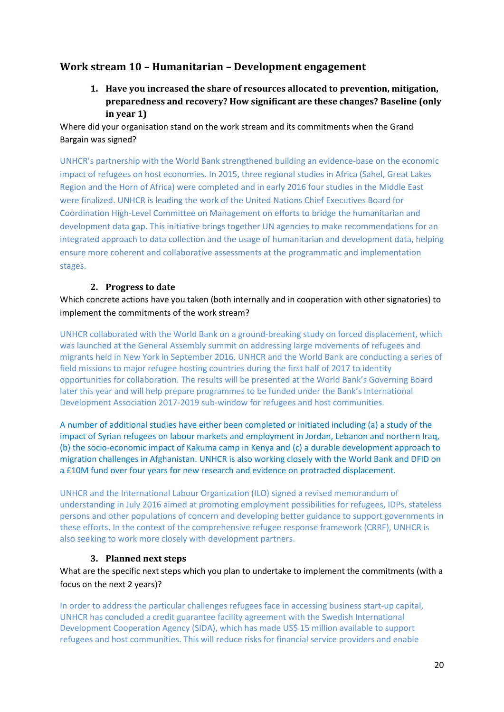## <span id="page-19-0"></span>**Work stream 10 – Humanitarian – Development engagement**

**1. Have you increased the share of resources allocated to prevention, mitigation, preparedness and recovery? How significant are these changes? Baseline (only in year 1)**

Where did your organisation stand on the work stream and its commitments when the Grand Bargain was signed?

UNHCR's partnership with the World Bank strengthened building an evidence-base on the economic impact of refugees on host economies. In 2015, three regional studies in Africa (Sahel, Great Lakes Region and the Horn of Africa) were completed and in early 2016 four studies in the Middle East were finalized. UNHCR is leading the work of the United Nations Chief Executives Board for Coordination High-Level Committee on Management on efforts to bridge the humanitarian and development data gap. This initiative brings together UN agencies to make recommendations for an integrated approach to data collection and the usage of humanitarian and development data, helping ensure more coherent and collaborative assessments at the programmatic and implementation stages.

#### **2. Progress to date**

<span id="page-19-1"></span>Which concrete actions have you taken (both internally and in cooperation with other signatories) to implement the commitments of the work stream?

UNHCR collaborated with the World Bank on a ground-breaking study on forced displacement, which was launched at the General Assembly summit on addressing large movements of refugees and migrants held in New York in September 2016. UNHCR and the World Bank are conducting a series of field missions to major refugee hosting countries during the first half of 2017 to identity opportunities for collaboration. The results will be presented at the World Bank's Governing Board later this year and will help prepare programmes to be funded under the Bank's International Development Association 2017-2019 sub-window for refugees and host communities.

A number of additional studies have either been completed or initiated including (a) a study of the impact of Syrian refugees on labour markets and employment in Jordan, Lebanon and northern Iraq, (b) the socio-economic impact of Kakuma camp in Kenya and (c) a durable development approach to migration challenges in Afghanistan. UNHCR is also working closely with the World Bank and DFID on a £10M fund over four years for new research and evidence on protracted displacement.

UNHCR and the International Labour Organization (ILO) signed a revised memorandum of understanding in July 2016 aimed at promoting employment possibilities for refugees, IDPs, stateless persons and other populations of concern and developing better guidance to support governments in these efforts. In the context of the comprehensive refugee response framework (CRRF), UNHCR is also seeking to work more closely with development partners.

#### **3. Planned next steps**

<span id="page-19-2"></span>What are the specific next steps which you plan to undertake to implement the commitments (with a focus on the next 2 years)?

In order to address the particular challenges refugees face in accessing business start-up capital, UNHCR has concluded a credit guarantee facility agreement with the Swedish International Development Cooperation Agency (SIDA), which has made US\$ 15 million available to support refugees and host communities. This will reduce risks for financial service providers and enable